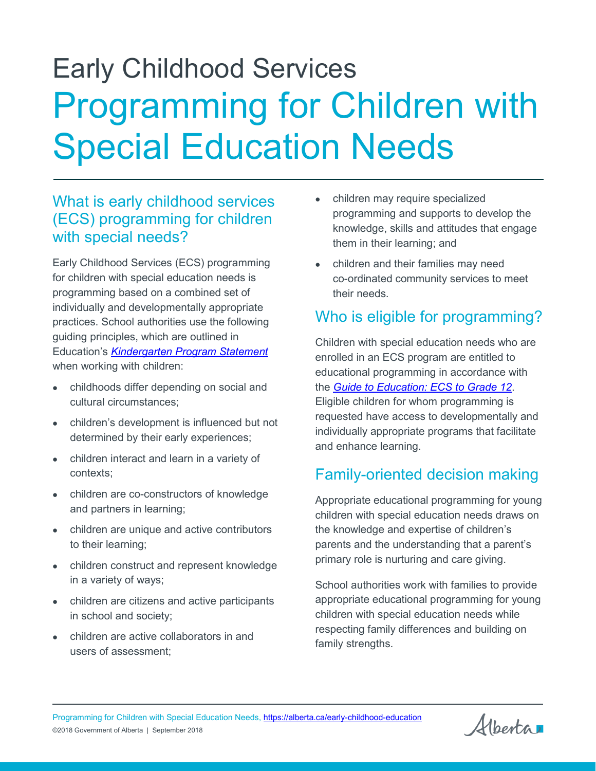# Early Childhood Services Programming for Children with Special Education Needs

#### What is early childhood services (ECS) programming for children with special needs?

Early Childhood Services (ECS) programming for children with special education needs is programming based on a combined set of individually and developmentally appropriate practices. School authorities use the following guiding principles, which are outlined in Education's *[Kindergarten Program Statement](https://education.alberta.ca/primary-grades-k-3/primary-grades-k-3/everyone/program-resources/)* when working with children:

- childhoods differ depending on social and cultural circumstances;
- children's development is influenced but not determined by their early experiences;
- children interact and learn in a variety of contexts;
- children are co-constructors of knowledge and partners in learning;
- children are unique and active contributors to their learning;
- children construct and represent knowledge in a variety of ways;
- children are citizens and active participants in school and society;
- children are active collaborators in and users of assessment;
- children may require specialized programming and supports to develop the knowledge, skills and attitudes that engage them in their learning; and
- children and their families may need co-ordinated community services to meet their needs.

### Who is eligible for programming?

Children with special education needs who are enrolled in an ECS program are entitled to educational programming in accordance with the *[Guide to Education: ECS to Grade 12](https://education.alberta.ca/guide-to-education/the-guide-to-education/)*. Eligible children for whom programming is requested have access to developmentally and individually appropriate programs that facilitate and enhance learning.

### Family-oriented decision making

Appropriate educational programming for young children with special education needs draws on the knowledge and expertise of children's parents and the understanding that a parent's primary role is nurturing and care giving.

School authorities work with families to provide appropriate educational programming for young children with special education needs while respecting family differences and building on family strengths.

Albertan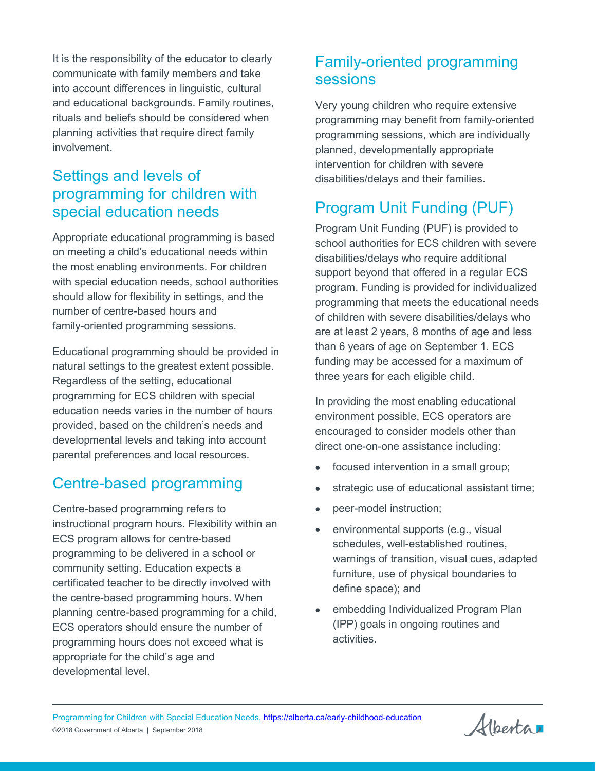It is the responsibility of the educator to clearly communicate with family members and take into account differences in linguistic, cultural and educational backgrounds. Family routines, rituals and beliefs should be considered when planning activities that require direct family involvement.

#### Settings and levels of programming for children with special education needs

Appropriate educational programming is based on meeting a child's educational needs within the most enabling environments. For children with special education needs, school authorities should allow for flexibility in settings, and the number of centre-based hours and family-oriented programming sessions.

Educational programming should be provided in natural settings to the greatest extent possible. Regardless of the setting, educational programming for ECS children with special education needs varies in the number of hours provided, based on the children's needs and developmental levels and taking into account parental preferences and local resources.

### Centre-based programming

Centre-based programming refers to instructional program hours. Flexibility within an ECS program allows for centre-based programming to be delivered in a school or community setting. Education expects a certificated teacher to be directly involved with the centre-based programming hours. When planning centre-based programming for a child, ECS operators should ensure the number of programming hours does not exceed what is appropriate for the child's age and developmental level.

#### Family-oriented programming sessions

Very young children who require extensive programming may benefit from family-oriented programming sessions, which are individually planned, developmentally appropriate intervention for children with severe disabilities/delays and their families.

## Program Unit Funding (PUF)

Program Unit Funding (PUF) is provided to school authorities for ECS children with severe disabilities/delays who require additional support beyond that offered in a regular ECS program. Funding is provided for individualized programming that meets the educational needs of children with severe disabilities/delays who are at least 2 years, 8 months of age and less than 6 years of age on September 1. ECS funding may be accessed for a maximum of three years for each eligible child.

In providing the most enabling educational environment possible, ECS operators are encouraged to consider models other than direct one-on-one assistance including:

- focused intervention in a small group;
- strategic use of educational assistant time;
- peer-model instruction;
- environmental supports (e.g., visual schedules, well-established routines, warnings of transition, visual cues, adapted furniture, use of physical boundaries to define space); and
- embedding Individualized Program Plan (IPP) goals in ongoing routines and activities.

Alberta